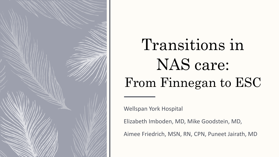

## Transitions in NAS care: From Finnegan to ESC

Wellspan York Hospital

Elizabeth Imboden, MD, Mike Goodstein, MD,

Aimee Friedrich, MSN, RN, CPN, Puneet Jairath, MD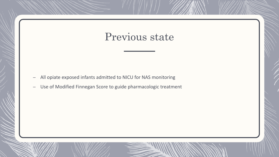## Previous state

- All opiate exposed infants admitted to NICU for NAS monitoring
- Use of Modified Finnegan Score to guide pharmacologic treatment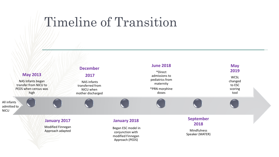## Timeline of Transition

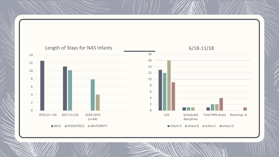